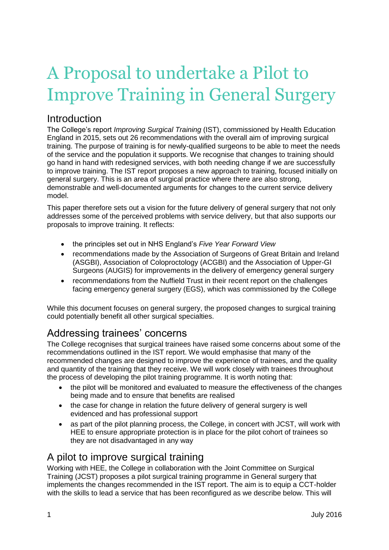# A Proposal to undertake a Pilot to Improve Training in General Surgery

### **Introduction**

The College"s report *Improving Surgical Training* (IST), commissioned by Health Education England in 2015, sets out 26 recommendations with the overall aim of improving surgical training. The purpose of training is for newly-qualified surgeons to be able to meet the needs of the service and the population it supports. We recognise that changes to training should go hand in hand with redesigned services, with both needing change if we are successfully to improve training. The IST report proposes a new approach to training, focused initially on general surgery. This is an area of surgical practice where there are also strong, demonstrable and well-documented arguments for changes to the current service delivery model.

This paper therefore sets out a vision for the future delivery of general surgery that not only addresses some of the perceived problems with service delivery, but that also supports our proposals to improve training. It reflects:

- the principles set out in NHS England"s *Five Year Forward View*
- recommendations made by the Association of Surgeons of Great Britain and Ireland (ASGBI), Association of Coloproctology (ACGBI) and the Association of Upper-GI Surgeons (AUGIS) for improvements in the delivery of emergency general surgery
- recommendations from the Nuffield Trust in their recent report on the challenges facing emergency general surgery (EGS), which was commissioned by the College

While this document focuses on general surgery, the proposed changes to surgical training could potentially benefit all other surgical specialties.

## Addressing trainees' concerns

The College recognises that surgical trainees have raised some concerns about some of the recommendations outlined in the IST report. We would emphasise that many of the recommended changes are designed to improve the experience of trainees, and the quality and quantity of the training that they receive. We will work closely with trainees throughout the process of developing the pilot training programme. It is worth noting that:

- the pilot will be monitored and evaluated to measure the effectiveness of the changes being made and to ensure that benefits are realised
- the case for change in relation the future delivery of general surgery is well evidenced and has professional support
- as part of the pilot planning process, the College, in concert with JCST, will work with HEE to ensure appropriate protection is in place for the pilot cohort of trainees so they are not disadvantaged in any way

#### A pilot to improve surgical training

Working with HEE, the College in collaboration with the Joint Committee on Surgical Training (JCST) proposes a pilot surgical training programme in General surgery that implements the changes recommended in the IST report. The aim is to equip a CCT-holder with the skills to lead a service that has been reconfigured as we describe below. This will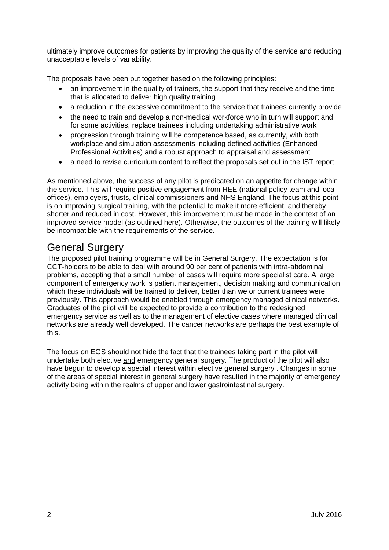ultimately improve outcomes for patients by improving the quality of the service and reducing unacceptable levels of variability.

The proposals have been put together based on the following principles:

- an improvement in the quality of trainers, the support that they receive and the time that is allocated to deliver high quality training
- a reduction in the excessive commitment to the service that trainees currently provide
- the need to train and develop a non-medical workforce who in turn will support and, for some activities, replace trainees including undertaking administrative work
- progression through training will be competence based, as currently, with both workplace and simulation assessments including defined activities (Enhanced Professional Activities) and a robust approach to appraisal and assessment
- a need to revise curriculum content to reflect the proposals set out in the IST report

As mentioned above, the success of any pilot is predicated on an appetite for change within the service. This will require positive engagement from HEE (national policy team and local offices), employers, trusts, clinical commissioners and NHS England. The focus at this point is on improving surgical training, with the potential to make it more efficient, and thereby shorter and reduced in cost. However, this improvement must be made in the context of an improved service model (as outlined here). Otherwise, the outcomes of the training will likely be incompatible with the requirements of the service.

## General Surgery

The proposed pilot training programme will be in General Surgery. The expectation is for CCT-holders to be able to deal with around 90 per cent of patients with intra-abdominal problems, accepting that a small number of cases will require more specialist care. A large component of emergency work is patient management, decision making and communication which these individuals will be trained to deliver, better than we or current trainees were previously. This approach would be enabled through emergency managed clinical networks. Graduates of the pilot will be expected to provide a contribution to the redesigned emergency service as well as to the management of elective cases where managed clinical networks are already well developed. The cancer networks are perhaps the best example of this.

The focus on EGS should not hide the fact that the trainees taking part in the pilot will undertake both elective and emergency general surgery. The product of the pilot will also have begun to develop a special interest within elective general surgery . Changes in some of the areas of special interest in general surgery have resulted in the majority of emergency activity being within the realms of upper and lower gastrointestinal surgery.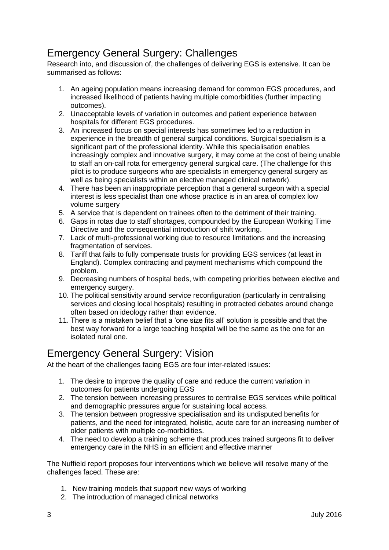## Emergency General Surgery: Challenges

Research into, and discussion of, the challenges of delivering EGS is extensive. It can be summarised as follows:

- 1. An ageing population means increasing demand for common EGS procedures, and increased likelihood of patients having multiple comorbidities (further impacting outcomes).
- 2. Unacceptable levels of variation in outcomes and patient experience between hospitals for different EGS procedures.
- 3. An increased focus on special interests has sometimes led to a reduction in experience in the breadth of general surgical conditions. Surgical specialism is a significant part of the professional identity. While this specialisation enables increasingly complex and innovative surgery, it may come at the cost of being unable to staff an on-call rota for emergency general surgical care. (The challenge for this pilot is to produce surgeons who are specialists in emergency general surgery as well as being specialists within an elective managed clinical network).
- 4. There has been an inappropriate perception that a general surgeon with a special interest is less specialist than one whose practice is in an area of complex low volume surgery
- 5. A service that is dependent on trainees often to the detriment of their training.
- 6. Gaps in rotas due to staff shortages, compounded by the European Working Time Directive and the consequential introduction of shift working.
- 7. Lack of multi-professional working due to resource limitations and the increasing fragmentation of services.
- 8. Tariff that fails to fully compensate trusts for providing EGS services (at least in England). Complex contracting and payment mechanisms which compound the problem.
- 9. Decreasing numbers of hospital beds, with competing priorities between elective and emergency surgery.
- 10. The political sensitivity around service reconfiguration (particularly in centralising services and closing local hospitals) resulting in protracted debates around change often based on ideology rather than evidence.
- 11. There is a mistaken belief that a "one size fits all" solution is possible and that the best way forward for a large teaching hospital will be the same as the one for an isolated rural one.

## Emergency General Surgery: Vision

At the heart of the challenges facing EGS are four inter-related issues:

- 1. The desire to improve the quality of care and reduce the current variation in outcomes for patients undergoing EGS
- 2. The tension between increasing pressures to centralise EGS services while political and demographic pressures argue for sustaining local access.
- 3. The tension between progressive specialisation and its undisputed benefits for patients, and the need for integrated, holistic, acute care for an increasing number of older patients with multiple co-morbidities.
- 4. The need to develop a training scheme that produces trained surgeons fit to deliver emergency care in the NHS in an efficient and effective manner

The Nuffield report proposes four interventions which we believe will resolve many of the challenges faced. These are:

- 1. New training models that support new ways of working
- 2. The introduction of managed clinical networks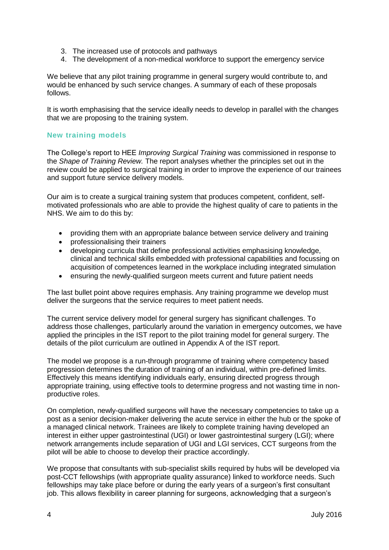- 3. The increased use of protocols and pathways
- 4. The development of a non-medical workforce to support the emergency service

We believe that any pilot training programme in general surgery would contribute to, and would be enhanced by such service changes. A summary of each of these proposals follows.

It is worth emphasising that the service ideally needs to develop in parallel with the changes that we are proposing to the training system.

#### **New training models**

The College"s report to HEE *Improving Surgical Training* was commissioned in response to the *Shape of Training Review.* The report analyses whether the principles set out in the review could be applied to surgical training in order to improve the experience of our trainees and support future service delivery models.

Our aim is to create a surgical training system that produces competent, confident, selfmotivated professionals who are able to provide the highest quality of care to patients in the NHS. We aim to do this by:

- providing them with an appropriate balance between service delivery and training
- professionalising their trainers
- developing curricula that define professional activities emphasising knowledge, clinical and technical skills embedded with professional capabilities and focussing on acquisition of competences learned in the workplace including integrated simulation
- ensuring the newly-qualified surgeon meets current and future patient needs

The last bullet point above requires emphasis. Any training programme we develop must deliver the surgeons that the service requires to meet patient needs.

The current service delivery model for general surgery has significant challenges. To address those challenges, particularly around the variation in emergency outcomes, we have applied the principles in the IST report to the pilot training model for general surgery. The details of the pilot curriculum are outlined in Appendix A of the IST report.

The model we propose is a run-through programme of training where competency based progression determines the duration of training of an individual, within pre-defined limits. Effectively this means identifying individuals early, ensuring directed progress through appropriate training, using effective tools to determine progress and not wasting time in nonproductive roles.

On completion, newly-qualified surgeons will have the necessary competencies to take up a post as a senior decision-maker delivering the acute service in either the hub or the spoke of a managed clinical network. Trainees are likely to complete training having developed an interest in either upper gastrointestinal (UGI) or lower gastrointestinal surgery (LGI); where network arrangements include separation of UGI and LGI services, CCT surgeons from the pilot will be able to choose to develop their practice accordingly.

We propose that consultants with sub-specialist skills required by hubs will be developed via post-CCT fellowships (with appropriate quality assurance) linked to workforce needs. Such fellowships may take place before or during the early years of a surgeon's first consultant job. This allows flexibility in career planning for surgeons, acknowledging that a surgeon's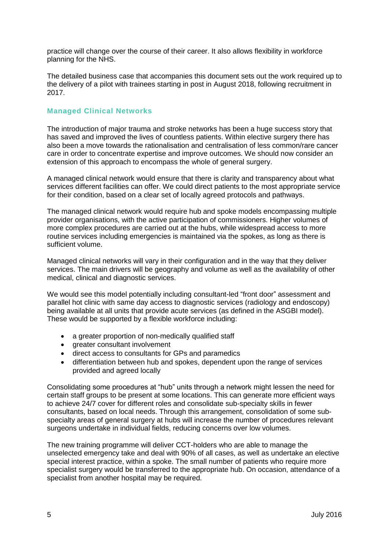practice will change over the course of their career. It also allows flexibility in workforce planning for the NHS.

The detailed business case that accompanies this document sets out the work required up to the delivery of a pilot with trainees starting in post in August 2018, following recruitment in 2017.

#### **Managed Clinical Networks**

The introduction of major trauma and stroke networks has been a huge success story that has saved and improved the lives of countless patients. Within elective surgery there has also been a move towards the rationalisation and centralisation of less common/rare cancer care in order to concentrate expertise and improve outcomes. We should now consider an extension of this approach to encompass the whole of general surgery.

A managed clinical network would ensure that there is clarity and transparency about what services different facilities can offer. We could direct patients to the most appropriate service for their condition, based on a clear set of locally agreed protocols and pathways.

The managed clinical network would require hub and spoke models encompassing multiple provider organisations, with the active participation of commissioners. Higher volumes of more complex procedures are carried out at the hubs, while widespread access to more routine services including emergencies is maintained via the spokes, as long as there is sufficient volume.

Managed clinical networks will vary in their configuration and in the way that they deliver services. The main drivers will be geography and volume as well as the availability of other medical, clinical and diagnostic services.

We would see this model potentially including consultant-led "front door" assessment and parallel hot clinic with same day access to diagnostic services (radiology and endoscopy) being available at all units that provide acute services (as defined in the ASGBI model). These would be supported by a flexible workforce including:

- a greater proportion of non-medically qualified staff
- greater consultant involvement
- direct access to consultants for GPs and paramedics
- differentiation between hub and spokes, dependent upon the range of services provided and agreed locally

Consolidating some procedures at "hub" units through a network might lessen the need for certain staff groups to be present at some locations. This can generate more efficient ways to achieve 24/7 cover for different roles and consolidate sub-specialty skills in fewer consultants, based on local needs. Through this arrangement, consolidation of some subspecialty areas of general surgery at hubs will increase the number of procedures relevant surgeons undertake in individual fields, reducing concerns over low volumes.

The new training programme will deliver CCT-holders who are able to manage the unselected emergency take and deal with 90% of all cases, as well as undertake an elective special interest practice, within a spoke. The small number of patients who require more specialist surgery would be transferred to the appropriate hub. On occasion, attendance of a specialist from another hospital may be required.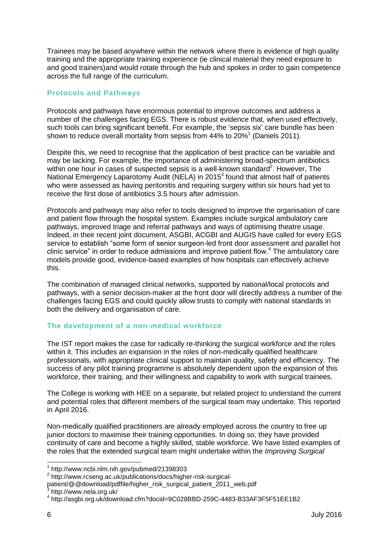Trainees may be based anywhere within the network where there is evidence of high quality training and the appropriate training experience (ie clinical material they need exposure to and good trainers)and would rotate through the hub and spokes in order to gain competence across the full range of the curriculum.

#### **Protocols and Pathways**

Protocols and pathways have enormous potential to improve outcomes and address a number of the challenges facing EGS. There is robust evidence that, when used effectively, such tools can bring significant benefit. For example, the "sepsis six" care bundle has been shown to reduce overall mortality from sepsis from 44% to 20%<sup>1</sup> (Daniels 2011).

Despite this, we need to recognise that the application of best practice can be variable and may be lacking. For example, the importance of administering broad-spectrum antibiotics within one hour in cases of suspected sepsis is a well-known standard<sup>2</sup>. However, The National Emergency Laparotomy Audit (NELA) in 2015<sup>3</sup> found that almost half of patients who were assessed as having peritonitis and requiring surgery within six hours had yet to receive the first dose of antibiotics 3.5 hours after admission.

Protocols and pathways may also refer to tools designed to improve the organisation of care and patient flow through the hospital system. Examples include surgical ambulatory care pathways, improved triage and referral pathways and ways of optimising theatre usage. Indeed, in their recent joint document, ASGBI, ACGBI and AUGIS have called for every EGS service to establish "some form of senior surgeon-led front door assessment and parallel hot clinic service" in order to reduce admissions and improve patient flow. <sup>4</sup> The ambulatory care models provide good, evidence-based examples of how hospitals can effectively achieve this.

The combination of managed clinical networks, supported by national/local protocols and pathways, with a senior decision-maker at the front door will directly address a number of the challenges facing EGS and could quickly allow trusts to comply with national standards in both the delivery and organisation of care.

#### **The development of a non-medical workforce**

The IST report makes the case for radically re-thinking the surgical workforce and the roles within it. This includes an expansion in the roles of non-medically qualified healthcare professionals, with appropriate clinical support to maintain quality, safety and efficiency. The success of any pilot training programme is absolutely dependent upon the expansion of this workforce, their training, and their willingness and capability to work with surgical trainees.

The College is working with HEE on a separate, but related project to understand the current and potential roles that different members of the surgical team may undertake. This reported in April 2016.

Non-medically qualified practitioners are already employed across the country to free up junior doctors to maximise their training opportunities. In doing so, they have provided continuity of care and become a highly skilled, stable workforce. We have listed examples of the roles that the extended surgical team might undertake within the *Improving Surgical* 

 1 http://www.ncbi.nlm.nih.gov/pubmed/21398303

<sup>2</sup> http://www.rcseng.ac.uk/publications/docs/higher-risk-surgical-

patient/@@download/pdffile/higher\_risk\_surgical\_patient\_2011\_web.pdf<br><sup>3</sup> http://www.pela.erg.uk/

http://www.nela.org.uk/

<sup>4</sup> http://asgbi.org.uk/download.cfm?docid=9C028BBD-259C-4483-B33AF3F5F51EE1B2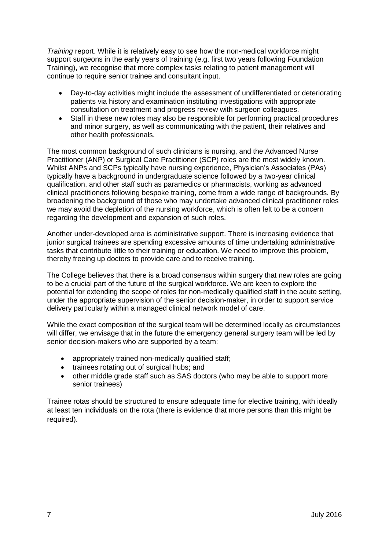*Training* report. While it is relatively easy to see how the non-medical workforce might support surgeons in the early years of training (e.g. first two years following Foundation Training), we recognise that more complex tasks relating to patient management will continue to require senior trainee and consultant input.

- Day-to-day activities might include the assessment of undifferentiated or deteriorating patients via history and examination instituting investigations with appropriate consultation on treatment and progress review with surgeon colleagues.
- Staff in these new roles may also be responsible for performing practical procedures and minor surgery, as well as communicating with the patient, their relatives and other health professionals.

The most common background of such clinicians is nursing, and the Advanced Nurse Practitioner (ANP) or Surgical Care Practitioner (SCP) roles are the most widely known. Whilst ANPs and SCPs typically have nursing experience, Physician's Associates (PAs) typically have a background in undergraduate science followed by a two-year clinical qualification, and other staff such as paramedics or pharmacists, working as advanced clinical practitioners following bespoke training, come from a wide range of backgrounds. By broadening the background of those who may undertake advanced clinical practitioner roles we may avoid the depletion of the nursing workforce, which is often felt to be a concern regarding the development and expansion of such roles.

Another under-developed area is administrative support. There is increasing evidence that junior surgical trainees are spending excessive amounts of time undertaking administrative tasks that contribute little to their training or education. We need to improve this problem, thereby freeing up doctors to provide care and to receive training.

The College believes that there is a broad consensus within surgery that new roles are going to be a crucial part of the future of the surgical workforce. We are keen to explore the potential for extending the scope of roles for non-medically qualified staff in the acute setting, under the appropriate supervision of the senior decision-maker, in order to support service delivery particularly within a managed clinical network model of care.

While the exact composition of the surgical team will be determined locally as circumstances will differ, we envisage that in the future the emergency general surgery team will be led by senior decision-makers who are supported by a team:

- appropriately trained non-medically qualified staff;
- trainees rotating out of surgical hubs; and
- other middle grade staff such as SAS doctors (who may be able to support more senior trainees)

Trainee rotas should be structured to ensure adequate time for elective training, with ideally at least ten individuals on the rota (there is evidence that more persons than this might be required).